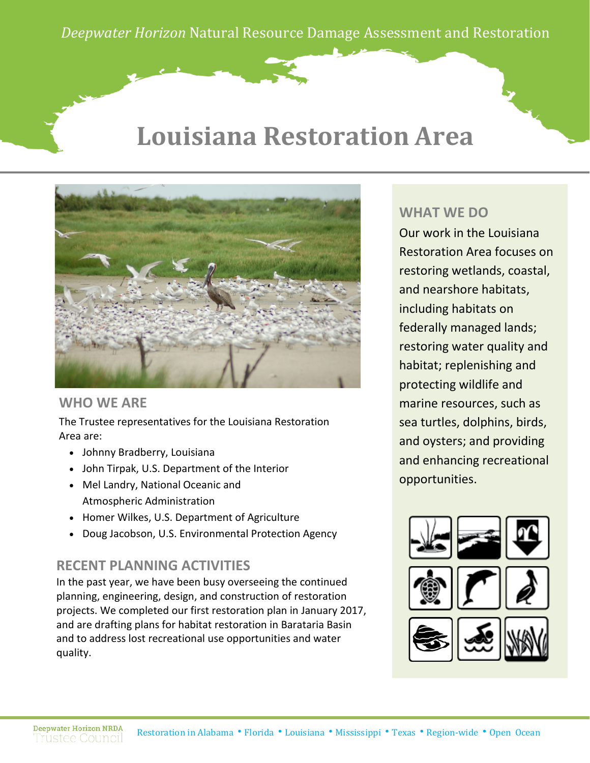## **Louisiana Restoration Area**



#### **WHO WE ARE**

The Trustee representatives for the Louisiana Restoration Area are:

- Johnny Bradberry, Louisiana
- John Tirpak, U.S. Department of the Interior
- Mel Landry, National Oceanic and Atmospheric Administration
- Homer Wilkes, U.S. Department of Agriculture
- Doug Jacobson, U.S. Environmental Protection Agency

#### **RECENT PLANNING ACTIVITIES**

In the past year, we have been busy overseeing the continued planning, engineering, design, and construction of restoration projects. We completed our first restoration plan in January 2017, and are drafting plans for habitat restoration in Barataria Basin and to address lost recreational use opportunities and water quality.

#### **WHAT WE DO**

Our work in the Louisiana Restoration Area focuses on restoring wetlands, coastal, and nearshore habitats, including habitats on federally managed lands; restoring water quality and habitat; replenishing and protecting wildlife and marine resources, such as sea turtles, dolphins, birds, and oysters; and providing and enhancing recreational opportunities.

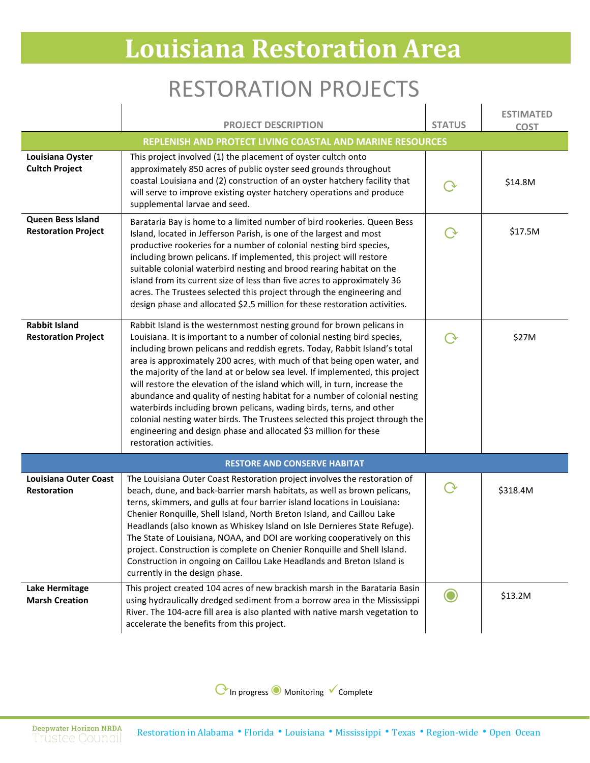# **Louisiana Restoration Area**

### RESTORATION PROJECTS

|                                                           | <b>PROJECT DESCRIPTION</b>                                                                                                                                                                                                                                                                                                                                                                                                                                                                                                                                                                                                                                                                                                                                                                                  | <b>STATUS</b> | <b>ESTIMATED</b><br><b>COST</b> |  |
|-----------------------------------------------------------|-------------------------------------------------------------------------------------------------------------------------------------------------------------------------------------------------------------------------------------------------------------------------------------------------------------------------------------------------------------------------------------------------------------------------------------------------------------------------------------------------------------------------------------------------------------------------------------------------------------------------------------------------------------------------------------------------------------------------------------------------------------------------------------------------------------|---------------|---------------------------------|--|
| REPLENISH AND PROTECT LIVING COASTAL AND MARINE RESOURCES |                                                                                                                                                                                                                                                                                                                                                                                                                                                                                                                                                                                                                                                                                                                                                                                                             |               |                                 |  |
| Louisiana Oyster<br><b>Cultch Project</b>                 | This project involved (1) the placement of oyster cultch onto<br>approximately 850 acres of public oyster seed grounds throughout<br>coastal Louisiana and (2) construction of an oyster hatchery facility that<br>will serve to improve existing oyster hatchery operations and produce<br>supplemental larvae and seed.                                                                                                                                                                                                                                                                                                                                                                                                                                                                                   |               | \$14.8M                         |  |
| Queen Bess Island<br><b>Restoration Project</b>           | Barataria Bay is home to a limited number of bird rookeries. Queen Bess<br>Island, located in Jefferson Parish, is one of the largest and most<br>productive rookeries for a number of colonial nesting bird species,<br>including brown pelicans. If implemented, this project will restore<br>suitable colonial waterbird nesting and brood rearing habitat on the<br>island from its current size of less than five acres to approximately 36<br>acres. The Trustees selected this project through the engineering and<br>design phase and allocated \$2.5 million for these restoration activities.                                                                                                                                                                                                     |               | \$17.5M                         |  |
| <b>Rabbit Island</b><br><b>Restoration Project</b>        | Rabbit Island is the westernmost nesting ground for brown pelicans in<br>Louisiana. It is important to a number of colonial nesting bird species,<br>including brown pelicans and reddish egrets. Today, Rabbit Island's total<br>area is approximately 200 acres, with much of that being open water, and<br>the majority of the land at or below sea level. If implemented, this project<br>will restore the elevation of the island which will, in turn, increase the<br>abundance and quality of nesting habitat for a number of colonial nesting<br>waterbirds including brown pelicans, wading birds, terns, and other<br>colonial nesting water birds. The Trustees selected this project through the<br>engineering and design phase and allocated \$3 million for these<br>restoration activities. |               | \$27M                           |  |
| <b>RESTORE AND CONSERVE HABITAT</b>                       |                                                                                                                                                                                                                                                                                                                                                                                                                                                                                                                                                                                                                                                                                                                                                                                                             |               |                                 |  |
| <b>Louisiana Outer Coast</b><br>Restoration               | The Louisiana Outer Coast Restoration project involves the restoration of<br>beach, dune, and back-barrier marsh habitats, as well as brown pelicans,<br>terns, skimmers, and gulls at four barrier island locations in Louisiana:<br>Chenier Ronquille, Shell Island, North Breton Island, and Caillou Lake<br>Headlands (also known as Whiskey Island on Isle Dernieres State Refuge).<br>The State of Louisiana, NOAA, and DOI are working cooperatively on this<br>project. Construction is complete on Chenier Ronquille and Shell Island.<br>Construction in ongoing on Caillou Lake Headlands and Breton Island is<br>currently in the design phase.                                                                                                                                                 | $\rm{O}$      | \$318.4M                        |  |
| <b>Lake Hermitage</b><br><b>Marsh Creation</b>            | This project created 104 acres of new brackish marsh in the Barataria Basin<br>using hydraulically dredged sediment from a borrow area in the Mississippi<br>River. The 104-acre fill area is also planted with native marsh vegetation to<br>accelerate the benefits from this project.                                                                                                                                                                                                                                                                                                                                                                                                                                                                                                                    |               | \$13.2M                         |  |

⟳In progress◉ Monitoring Complete